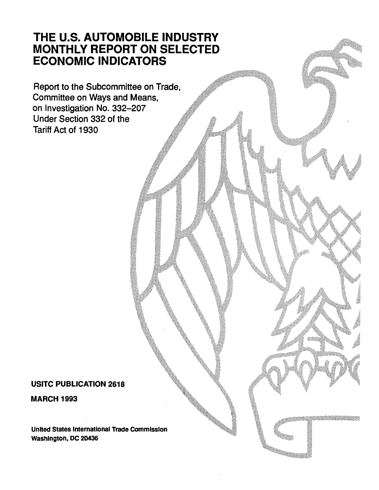# THE U.S. AUTOMOBILE INDUSTRY MONTHLY REPORT ON SELECTED ECONOMIC INDICATORS

Report to the Subcommittee on Trade, Committee on Ways and Means, on Investigation No. 332-207 Under Section 332 of the Tariff Act of 1930

# USITC PUBLICATION 2618

MARCH 1993

United States International Trade Commission Washington, DC 20436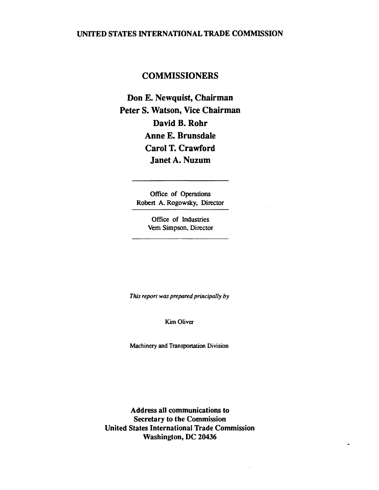## UNITED STATES INTERNATIONAL TRADE COMMISSION

# COMMISSIONERS

Don E. Newquist, Chairman Peter S. Watson, Vice Chairman David B. Rohr Anne E. Brunsdale Carol T. Crawford Janet A. Nuzum

> Office of Operations Robert A. Rogowsky, Director

> > Office of Industries Vern Simpson, Director

*This report was prepared principally by* 

Kim Oliver

Machinery and Transportation Division

Address all communications to Secretary to the Commission United States International Trade Commission Washington, DC 20436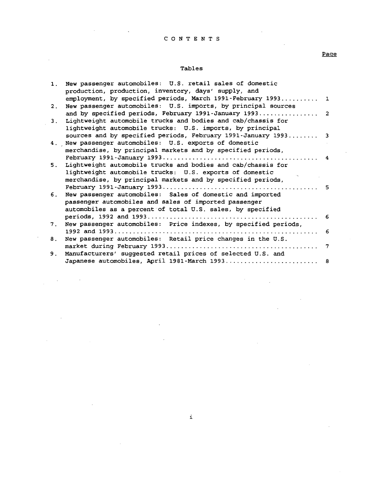## C 0 N T E N T S

 $\overline{\phantom{a}}$ 

 $\bar{z}$ 

 $\bar{z}$ 

 $\sim$  $\mathbb{R}^2$ 

 $\overline{\phantom{a}}$ 

 $\ddot{\phantom{a}}$ 

 $\sim$ 

 $\bar{z}$ 

## Tables

| $\mathbf{1}$ . | New passenger automobiles: U.S. retail sales of domestic<br>production, production, inventory, days' supply, and |    |
|----------------|------------------------------------------------------------------------------------------------------------------|----|
|                | employment, by specified periods, March 1991-February 1993 1                                                     |    |
| 2 <sub>1</sub> | New passenger automobiles: U.S. imports, by principal sources                                                    |    |
|                |                                                                                                                  |    |
| 3 <sub>1</sub> | Lightweight automobile trucks and bodies and cab/chassis for                                                     |    |
|                | lightweight automobile trucks: U.S. imports, by principal                                                        |    |
|                | sources and by specified periods, February 1991-January 1993 3                                                   |    |
|                | 4. New passenger automobiles: U.S. exports of domestic                                                           |    |
|                | merchandise, by principal markets and by specified periods,                                                      |    |
|                |                                                                                                                  | 4  |
| 5.             | Lightweight automobile trucks and bodies and cab/chassis for                                                     |    |
|                | lightweight automobile trucks: U.S. exports of domestic                                                          |    |
|                | merchandise, by principal markets and by specified periods,                                                      |    |
|                |                                                                                                                  | -5 |
| 6.             | New passenger automobiles: Sales of domestic and imported                                                        |    |
|                | passenger automobiles and sales of imported passenger                                                            |    |
|                | automobiles as a percent of total U.S. sales, by specified                                                       |    |
|                |                                                                                                                  | 6  |
| 7.             | New passenger automobiles: Price indexes, by specified periods,                                                  |    |
|                |                                                                                                                  | -6 |
| 8.             | New passenger automobiles: Retail price changes in the U.S.                                                      |    |
|                |                                                                                                                  | 7  |
| 9.             | Manufacturers' suggested retail prices of selected U.S. and                                                      |    |
|                | Japanese automobiles, April 1981-March 1993 8                                                                    |    |
|                |                                                                                                                  |    |

 $\bar{z}$ 

Page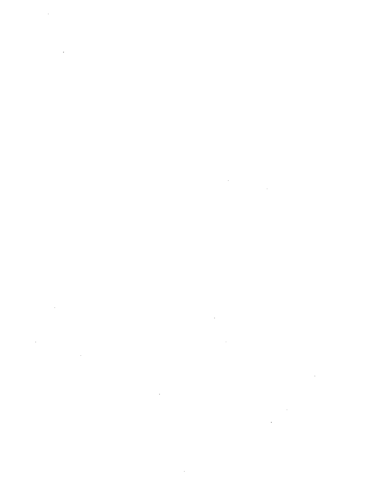$\label{eq:2.1} \frac{1}{\sqrt{2}}\sum_{i=1}^n\frac{1}{\sqrt{2}}\sum_{i=1}^n\frac{1}{\sqrt{2}}\sum_{i=1}^n\frac{1}{\sqrt{2}}\sum_{i=1}^n\frac{1}{\sqrt{2}}\sum_{i=1}^n\frac{1}{\sqrt{2}}\sum_{i=1}^n\frac{1}{\sqrt{2}}\sum_{i=1}^n\frac{1}{\sqrt{2}}\sum_{i=1}^n\frac{1}{\sqrt{2}}\sum_{i=1}^n\frac{1}{\sqrt{2}}\sum_{i=1}^n\frac{1}{\sqrt{2}}\sum_{i=1}^n\frac$ 

 $\label{eq:2.1} \frac{1}{\sqrt{2\pi}}\int_{0}^{\infty} \frac{d\mu}{\sqrt{2\pi}}\left(\frac{d\mu}{\mu}\right)^2\frac{d\mu}{\mu}\left(\frac{d\mu}{\mu}\right)^2\frac{d\mu}{\mu}\left(\frac{d\mu}{\mu}\right)^2.$ 

 $\label{eq:2.1} \frac{1}{\sqrt{2}}\int_{\mathbb{R}^3} \frac{1}{\sqrt{2}}\left(\frac{1}{\sqrt{2}}\right)^2\left(\frac{1}{\sqrt{2}}\right)^2\left(\frac{1}{\sqrt{2}}\right)^2\left(\frac{1}{\sqrt{2}}\right)^2\left(\frac{1}{\sqrt{2}}\right)^2\left(\frac{1}{\sqrt{2}}\right)^2.$  $\label{eq:2.1} \frac{1}{\sqrt{2}}\int_{\mathbb{R}^3}\frac{1}{\sqrt{2}}\left(\frac{1}{\sqrt{2}}\right)^2\frac{1}{\sqrt{2}}\left(\frac{1}{\sqrt{2}}\right)^2\frac{1}{\sqrt{2}}\left(\frac{1}{\sqrt{2}}\right)^2\frac{1}{\sqrt{2}}\left(\frac{1}{\sqrt{2}}\right)^2.$  $\label{eq:2.1} \frac{1}{\sqrt{2}}\left(\frac{1}{\sqrt{2}}\right)^{2} \left(\frac{1}{\sqrt{2}}\right)^{2} \left(\frac{1}{\sqrt{2}}\right)^{2} \left(\frac{1}{\sqrt{2}}\right)^{2} \left(\frac{1}{\sqrt{2}}\right)^{2} \left(\frac{1}{\sqrt{2}}\right)^{2} \left(\frac{1}{\sqrt{2}}\right)^{2} \left(\frac{1}{\sqrt{2}}\right)^{2} \left(\frac{1}{\sqrt{2}}\right)^{2} \left(\frac{1}{\sqrt{2}}\right)^{2} \left(\frac{1}{\sqrt{2}}\right)^{2} \left(\$ 

 $\label{eq:2.1} \frac{1}{\sqrt{2}}\int_{\mathbb{R}^3}\frac{1}{\sqrt{2}}\left(\frac{1}{\sqrt{2}}\int_{\mathbb{R}^3}\frac{1}{\sqrt{2}}\left(\frac{1}{\sqrt{2}}\int_{\mathbb{R}^3}\frac{1}{\sqrt{2}}\left(\frac{1}{\sqrt{2}}\int_{\mathbb{R}^3}\frac{1}{\sqrt{2}}\right)\frac{1}{\sqrt{2}}\right)\frac{1}{\sqrt{2}}\right)=\frac{1}{2}\int_{\mathbb{R}^3}\frac{1}{\sqrt{2}}\int_{\mathbb{R}^3}\frac{1}{\sqrt{2}}\left(\frac{1$  $\mathcal{L}(\mathcal{L}(\mathcal{L}(\mathcal{L}(\mathcal{L}(\mathcal{L}(\mathcal{L}(\mathcal{L}(\mathcal{L}(\mathcal{L}(\mathcal{L}(\mathcal{L}(\mathcal{L}(\mathcal{L}(\mathcal{L}(\mathcal{L}(\mathcal{L}(\mathcal{L}(\mathcal{L}(\mathcal{L}(\mathcal{L}(\mathcal{L}(\mathcal{L}(\mathcal{L}(\mathcal{L}(\mathcal{L}(\mathcal{L}(\mathcal{L}(\mathcal{L}(\mathcal{L}(\mathcal{L}(\mathcal{L}(\mathcal{L}(\mathcal{L}(\mathcal{L}(\mathcal{L}(\mathcal{$  $\label{eq:2.1} \frac{1}{\sqrt{2}}\int_{\mathbb{R}^3}\frac{1}{\sqrt{2}}\left(\frac{1}{\sqrt{2}}\right)^2\frac{1}{\sqrt{2}}\left(\frac{1}{\sqrt{2}}\right)^2\frac{1}{\sqrt{2}}\left(\frac{1}{\sqrt{2}}\right)^2\frac{1}{\sqrt{2}}\left(\frac{1}{\sqrt{2}}\right)^2.$ 

 $\label{eq:2.1} \frac{1}{\sqrt{2}}\int_{\mathbb{R}^3}\frac{1}{\sqrt{2}}\left(\frac{1}{\sqrt{2}}\right)^2\frac{1}{\sqrt{2}}\left(\frac{1}{\sqrt{2}}\right)^2\frac{1}{\sqrt{2}}\left(\frac{1}{\sqrt{2}}\right)^2\frac{1}{\sqrt{2}}\left(\frac{1}{\sqrt{2}}\right)^2.$  $\label{eq:2.1} \frac{1}{\sqrt{2}}\int_{\mathbb{R}^3}\frac{1}{\sqrt{2}}\left(\frac{1}{\sqrt{2}}\right)^2\frac{1}{\sqrt{2}}\left(\frac{1}{\sqrt{2}}\right)^2\frac{1}{\sqrt{2}}\left(\frac{1}{\sqrt{2}}\right)^2\frac{1}{\sqrt{2}}\left(\frac{1}{\sqrt{2}}\right)^2.$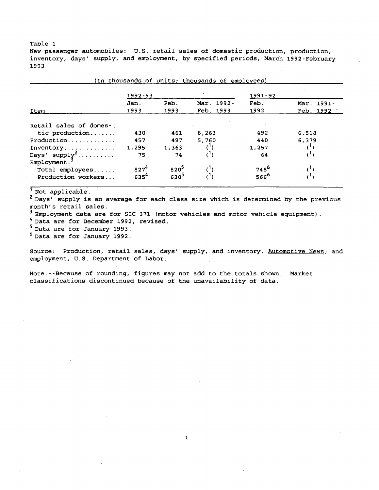Table 1 New passenger automobiles: U.S. retail sales of domestic production, production, inventory, days' supply, and employment, by specified periods, March 1992-February 1993

| (In thousands of units; thousands of employees)      |                       |                               |            |                               |            |  |  |  |  |
|------------------------------------------------------|-----------------------|-------------------------------|------------|-------------------------------|------------|--|--|--|--|
|                                                      | 1992-93               |                               |            | 1991-92                       |            |  |  |  |  |
|                                                      | Jan.                  | Feb.                          | Mar. 1992- | Feb.                          | Mar. 1991- |  |  |  |  |
| Item                                                 | 1993                  | 1993                          | Feb. 1993  | 1992                          | Feb. 1992  |  |  |  |  |
| Retail sales of domes-                               |                       |                               |            |                               |            |  |  |  |  |
| tic production                                       | 430                   | 461                           | 6,263      | 492                           | 6,518      |  |  |  |  |
| Production                                           | 457                   | 497                           | 5,760      | 440                           | 6,379      |  |  |  |  |
| Inventory                                            | 1,295                 | 1,363                         |            | 1,257                         |            |  |  |  |  |
| Days' $\sup_{\mathbf{E}} \frac{1}{3}$<br>Employment: | 75                    | 74                            |            | 64                            |            |  |  |  |  |
| Total employees                                      |                       |                               |            |                               |            |  |  |  |  |
| Production workers                                   | $\frac{827^4}{635^4}$ | $820^{5}$<br>630 <sup>5</sup> |            | $748^{6}$<br>566 <sup>6</sup> |            |  |  |  |  |

<sup>1</sup> Not applicable.

<sup>2</sup> Days' supply is an average for each class size which is determined by the previous month's retail sales.

 $3$  Employment data are for SIC 371 (motor vehicles and motor vehicle equipment).<br>
<sup>4</sup> Data are for December 1992, revised.

5 Data are for January 1993.

6 Data are for January 1992.

Source: Production, retail sales, days' supply, and inventory, Automotive News; and employment, U.S. Department of Labor.

Note.--Because of rounding, figures may not add to the totals shown. Market classifications discontinued because of the unavailability of data.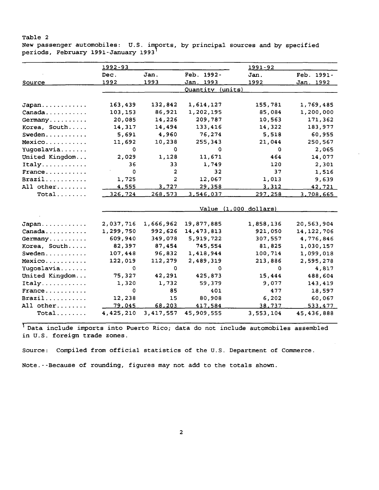New passenger automobiles: U.S. imforts, by principal sources and by specified periods, February 1991-January 1993

|                                        | 1992-93       |               |                  | 1991-92               |                  |  |  |
|----------------------------------------|---------------|---------------|------------------|-----------------------|------------------|--|--|
|                                        | Dec.          | Jan.          | Feb. 1992-       | Jan.                  | Feb. 1991-       |  |  |
| Source                                 | 1992          | 1993          | <u>Jan. 1993</u> | 1992                  | <u>Jan. 1992</u> |  |  |
|                                        |               |               | Quantity (units) |                       |                  |  |  |
|                                        |               |               |                  |                       |                  |  |  |
| Japan                                  | 163,439       | 132,842       | 1,614,127        | 155,781               | 1,769,485        |  |  |
| Canada.                                | 103,153       | 86,921        | 1,202,195        | 85,084                | 1,200,000        |  |  |
| Germany                                | 20,085        | 14,226        | 209,787          | 10,563                | 171,362          |  |  |
| Korea, South                           | 14,317        | 14,494        | 133,416          | 14,322                | 183,977          |  |  |
| Sweden                                 | 5,691         | 4,960         | 76,274           | 5,518                 | 60,955           |  |  |
| Mexico                                 | 11,692        | 10,238        | 255,343          | 21,044                | 250,567          |  |  |
| Yugoslavia                             | $\Omega$      | $\Omega$      | $\Omega$         | $\Omega$              | 2,065            |  |  |
| United Kingdom                         | 2,029         | 1,128         | 11,671           | 464                   | 14,077           |  |  |
| Italy                                  | 36            | 33            | 1,749            | 120                   | 2,301            |  |  |
| $France \dots \dots \dots$             | 0             | 2             | 32               | 37                    | 1,516            |  |  |
| $\texttt{Brazil} \ldots \ldots \ldots$ | 1,725         | 2             | 12,067           | 1,013                 | 9,639            |  |  |
| All other                              | 4,555         | 3,727         | 29,358           | 3,312                 | 42,721           |  |  |
| $Total$                                | 326,724       | 268,573       | 3,546,037        | 297,258               | 3,708,665        |  |  |
|                                        |               |               |                  | Value (1,000 dollars) |                  |  |  |
|                                        |               |               |                  |                       |                  |  |  |
| Japan                                  | 2,037,716     | 1,666,962     | 19,877,885       | 1,858,136             | 20,563,904       |  |  |
| Canada.                                | 1,299,750     | 992,626       | 14, 473, 813     | 921,050               | 14, 122, 706     |  |  |
| Germany                                | 609,940       | 349,078       | 5,919,722        | 307,557               | 4,776,846        |  |  |
| Korea, South                           | 82,397        | 87,454        | 745,554          | 81,825                | 1,030,157        |  |  |
| $S$ weden                              | 107,448       | 96,832        | 1,418,944        | 100,714               | 1,099,018        |  |  |
| Mexico                                 | 122,019       | 112,279       | 2,489,319        | 213,886               | 2,595,278        |  |  |
| Yugoslavia                             | $\Omega$      | $\Omega$      | 0                | 0                     | 4,817            |  |  |
| United Kingdom                         | 75,327        | 42,291        | 425,873          | 15,444                | 488,604          |  |  |
| Italy                                  | 1,320         | 1,732         | 59,379           | 9,077                 | 143,419          |  |  |
| $France \ldots \ldots \ldots$          | $\mathbf 0$   | 85            | 401              | 477                   | 18,597           |  |  |
| $\texttt{Brazil}$                      | 12,238        | 15            | 80,908           | 6,202                 | 60,067           |  |  |
| All other                              | <u>79,045</u> | <u>68,203</u> | 417,584          | 38,737                | 533,477          |  |  |
| $Total$                                | 4,425,210     | 3, 417, 557   | 45,909,555       | 3,553,104             | 45, 436, 888     |  |  |

Data include imports into Puerto Rico; data do not include automobiles assembled in U.S. foreign trade zones.

Source: Compiled from official statistics of the U.S. Department of Commerce.

Note.--Because of rounding, figures may not add to the totals shown.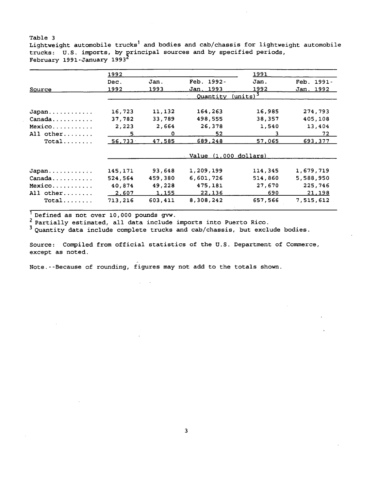Table 3 Lightweight automobile  $trucks<sup>1</sup>$  and bodies and  $cab/chassis$  for lightweight automobile trucks:  $U.S.$  imports, by principal sources and by specified periods, February 1991-January 1993

|               | 1992                           |                          |            | 1991    |            |  |  |  |
|---------------|--------------------------------|--------------------------|------------|---------|------------|--|--|--|
|               | Dec.                           | Jan.                     | Feb. 1992- | Jan.    | Feb. 1991- |  |  |  |
| <b>Source</b> | 1992                           | 1993                     | Jan. 1993  | 1992    | Jan. 1992  |  |  |  |
|               |                                | $(mits)^{3}$<br>Ouantity |            |         |            |  |  |  |
| Japan         | 16,723                         | 11,132                   | 164,263    | 16,985  | 274,793    |  |  |  |
| Canada.       | 37,782                         | 33,789                   | 498,555    | 38,357  | 405,108    |  |  |  |
| Mexico        | 2,223                          | 2,664                    | 26,378     | 1,540   | 13,404     |  |  |  |
| All other     | 5.                             | 0                        | 52         | 3       | 72         |  |  |  |
| $Total$       | 56,733                         | 47,585                   | 689,248    | 57,065  | 693,377    |  |  |  |
|               | $\sim$ Value $(1,000$ dollars) |                          |            |         |            |  |  |  |
| Japan         | 145,171                        | 93,648                   | 1,209,199  | 114,345 | 1,679,719  |  |  |  |
| Canada.       | 524,564                        | 459,380                  | 6,601,726  | 514,860 | 5,588,950  |  |  |  |
| Mexico        | 40,874                         | 49,228                   | 475,181    | 27,670  | 225,746    |  |  |  |
| All other     | 2,607                          | 1,155                    | 22,136     | 690     | 21,198     |  |  |  |
| $Total$       | 713,216                        | 603,411                  | 8,308,242  | 657,566 | 7,515,612  |  |  |  |

Defined as not over 10,000 pounds gvw.

Partially estimated, all data include imports into Puerto Rico.

3 Quantity data include complete trucks and cab/chassis, but exclude bodies.

Source: Compiled from official statistics of the U.S. Department of Commerce, except as noted.

Note.--Because of rounding, figures may not add to the totals shown.

3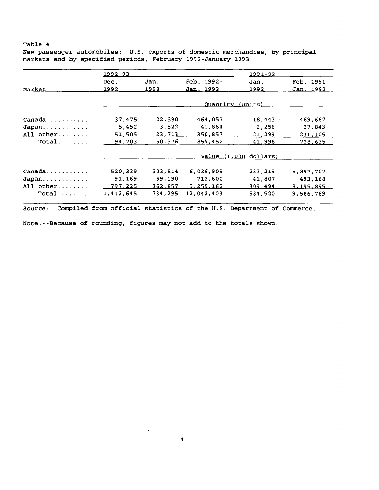## Table 4 New passenger automobiles: U.S. exports of domestic merchandise, by principal markets and by specified periods, February 1992-January 1993

|             | 1992-93   |         |                  | 1991-92               |            |
|-------------|-----------|---------|------------------|-----------------------|------------|
|             | Dec.      | Jan.    | Feb. 1992-       | Jan.                  | Feb. 1991- |
| Market      | 1992      | 1993    | Jan. 1993        | 1992                  | Jan. 1992  |
|             |           |         | Quantity (units) |                       |            |
| Canada.     | 37,475    | 22,590  | 464,057          | 18,443                | 469,687    |
| Japan       | 5,452     | 3,522   | 41,864           | 2,256                 | 27,843     |
| All $other$ | 51,505    | 23,713  | 350,857          | 21,299                | 231,105    |
| Total       | 94,703    | 50,376  | 859,452          | 41,998                | 728,635    |
|             |           |         |                  | Value (1,000 dollars) |            |
| Canada      | 520,339   | 303,814 | 6,036,909        | 233,219               | 5,897,707  |
| Japan       | 91,169    | 59,190  | 712,600          | 41,807                | 493,168    |
| All other   | 797,225   | 362,657 | 5,255,162        | 309,494               | 3,195,895  |
| $Total$     | 1,412,645 | 734,295 | 12,042,403       | 584,520               | 9,586,769  |

Source: Compiled from official statistics of the U.S. Department of Commerce.

4

Note.--Because of rounding, figures may not add to the totals shown.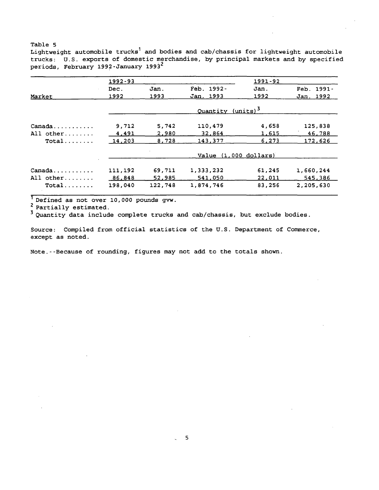Lightweight automobile  $trucks<sup>1</sup>$  and bodies and cab/chassis for lightweight automobile trucks: U.S. exports of domestic merchandise, by principal markets and by specified periods, February 1992-January 1993<sup>2</sup>

|           | 1992-93 |         |                               | 1991-92 |            |
|-----------|---------|---------|-------------------------------|---------|------------|
|           | Dec.    | Jan.    | Feb. 1992-                    | Jan.    | Feb. 1991- |
| Market    | 1992    | 1993    | Jan. 1993                     | 1992    | Jan. 1992  |
|           |         |         | Quantity (units) <sup>3</sup> |         |            |
| Canada    | 9,712   | 5,742   | 110,479                       | 4,658   | 125,838    |
| All other | 4,491   | 2,980   | 32,864                        | 1,615   | 46,788     |
| $Total$   | 14,203  | 8,728   | 143,377                       | 6,273   | 172,626    |
|           |         |         | Value $(1,000$ dollars)       |         |            |
| Canada.   | 111,192 | 69,711  | 1,333,232                     | 61,245  | 1,660,244  |
| All other | 86,848  | 52,985  | 541,050                       | 22,011  | 545,386    |
| $Total$   | 198,040 | 122,748 | 1,874,746                     | 83,256  | 2,205,630  |

Defined as not over 10,000 pounds gvw.

3 Quantity data include complete trucks and cab/chassis, but exclude bodies.

Source: Compiled from official statistics of the U.S. Department of Commerce, except as noted.

Note.--Because of rounding, figures may not add to the totals shown.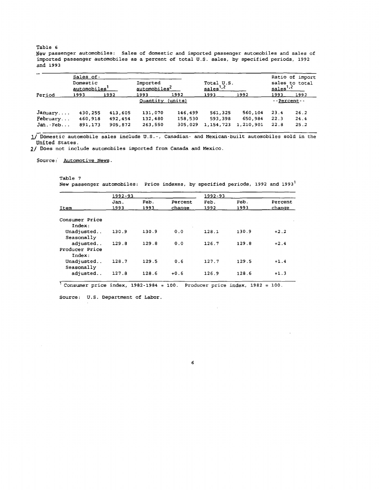New passenger automobiles: Sales of domestic and imported passenger automobiles and sales of imported passenger automobiles as a percent of total U.S. sales, by specified periods, 1992 and 1993

|            | Sales of-    |         |                          |         |                               |            |                      | Ratio of import |  |
|------------|--------------|---------|--------------------------|---------|-------------------------------|------------|----------------------|-----------------|--|
|            | Domestic     |         | Imported                 |         |                               | Total U.S. | sales to total       |                 |  |
|            | automobiles' |         | automobiles <sup>2</sup> |         | $_{\rm sales}$ <sup>1,2</sup> |            | sales <sup>1,2</sup> |                 |  |
| Period     | 1993         | 1992    | -1993                    | 1992    | 1993                          | 1992       | 1993                 | 1992            |  |
|            |              |         | Ouantity                 | (units) |                               |            | $-$ -Percent $-$     |                 |  |
| January    | 430.255      | 413.605 | 131,070                  | 146,499 | 561,325                       | 560,104    | 23.4                 | 26.2            |  |
| February   | 460.918      | 492,454 | 132.480                  | 158,530 | 593,398                       | 650.984    | 22.3                 | 24.4            |  |
| $Jan.$ Feb | 891,173      | 905,872 | 263,550                  | 305,029 | 1, 154, 723                   | 1,210,901  | 22.8                 | 25.2            |  |

1/ Domestic automobile sales include U.S.-, Canadian- and Mexican-built automobiles sold in the United States.

2/ Does not include automobiles imported from Canada and Mexico.

Source: Automotive News.

Table 7

New passenger automobiles: Price indexes, by specified periods, 1992 and 1993<sup>1</sup>

|                                      | 1992-93      |              |                   | 1992-93      |              |                   |
|--------------------------------------|--------------|--------------|-------------------|--------------|--------------|-------------------|
| Item                                 | Jan.<br>1993 | Feb.<br>1993 | Percent<br>change | Feb.<br>1992 | Feb.<br>1993 | Percent<br>change |
|                                      |              |              |                   |              |              |                   |
| Consumer Price<br>Index:             |              |              |                   |              |              |                   |
| Unadjusted<br>Seasonally             | 130.9        | 130.9        | 0.0               | 128.1        | 130.9        | $+2.2$            |
| adjusted<br>Producer Price<br>Index: | 129.8        | 129.8        | 0.0               | 126.7        | 129.8        | $+2.4$            |
| Unadjusted<br>Seasonally             | 128.7        | 129.5        | 0.6               | 127.7        | 129.5        | $+1.4$            |
| adjusted                             | 127.8        | 128.6        | $+0.6$            | 126.9        | 128.6        | $+1.3$            |

 $\frac{1}{1}$  Consumer price index, 1982-1984 = 100. Producer price index, 1982 = 100.

6

 $\bar{\lambda}$ 

 $\ddot{\phantom{a}}$ 

Source: U.S. Department of Labor.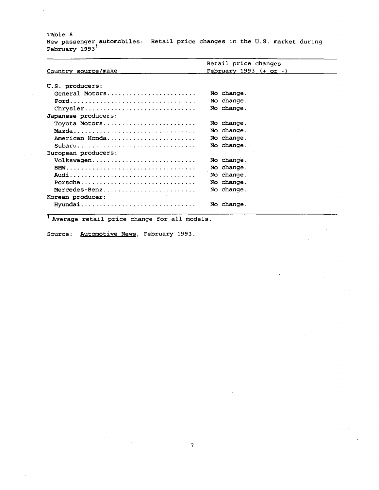$\sigma_{\rm{max}}$  .

New passenger automobiles: Retail price changes in the U.S. market during February 1993<sup>1</sup>

|                                                                    | Retail price changes     |
|--------------------------------------------------------------------|--------------------------|
| Country source/make                                                | February 1993 $(+ or -)$ |
|                                                                    |                          |
| U.S. producers:                                                    |                          |
| General Motors                                                     | No change.               |
|                                                                    | No change.               |
| $Chrysler \ldots \ldots \ldots \ldots \ldots \ldots \ldots \ldots$ | No change.               |
| Japanese producers:                                                |                          |
| Toyota Motors                                                      | No change.               |
| Mazda                                                              | No change.               |
| American Honda                                                     | No change.               |
| $Subaru$                                                           | No change.               |
| European producers:                                                |                          |
| Volkswagen                                                         | No change.               |
|                                                                    | No change.               |
|                                                                    | No change.               |
| Porsche                                                            | No change.               |
| Mercedes-Benz                                                      | No change.               |
| Korean producer:                                                   |                          |
| Hyundai                                                            | No change.               |
|                                                                    |                          |

1 Average retail price change for all models.

Source: Automotive News, February 1993.